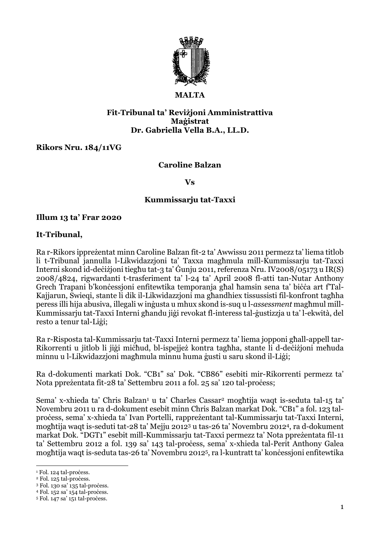

### **MALTA**

#### **Fit-Tribunal ta' Reviżjoni Amministrattiva Maġistrat Dr. Gabriella Vella B.A., LL.D.**

**Rikors Nru. 184/11VG**

## **Caroline Balzan**

**Vs**

#### **Kummissarju tat-Taxxi**

#### **Illum 13 ta' Frar 2020**

#### **It-Tribunal,**

Ra r-Rikors ippreżentat minn Caroline Balzan fit-2 ta' Awwissu 2011 permezz ta' liema titlob li t-Tribunal jannulla l-Likwidazzjoni ta' Taxxa magħmula mill-Kummissarju tat-Taxxi Interni skond id-deċiżjoni tiegħu tat-3 ta' Ġunju 2011, referenza Nru. IV2008/05173 u IR(S) 2008/4824, rigwardanti t-trasferiment ta' l-24 ta' April 2008 fl-atti tan-Nutar Anthony Grech Trapani b'konċessjoni enfitewtika temporanja għal ħamsin sena ta' biċċa art f'Tal-Kajjarun, Swieqi, stante li dik il-Likwidazzjoni ma għandhiex tissussisti fil-konfront tagħha peress illi hija abusiva, illegali w inġusta u mhux skond is-suq u l-*assessment* magħmul mill-Kummissarju tat-Taxxi Interni għandu jiġi revokat fl-interess tal-ġustizzja u ta' l-ekwità, del resto a tenur tal-Liġi;

Ra r-Risposta tal-Kummissarju tat-Taxxi Interni permezz ta' liema jopponi għall-appell tar-Rikorrenti u jitlob li jiġi miċħud, bl-ispejjeż kontra tagħha, stante li d-deċiżjoni meħuda minnu u l-Likwidazzjoni magħmula minnu huma ġusti u saru skond il-Liġi;

Ra d-dokumenti markati Dok. "CB1" sa' Dok. "CB86" esebiti mir-Rikorrenti permezz ta' Nota ppreżentata fit-28 ta' Settembru 2011 a fol. 25 sa' 120 tal-proċess;

Sema' x-xhieda ta' Chris Balzan<sup>1</sup> u ta' Charles Cassar<sup>2</sup> moghtija waqt is-seduta tal-15 ta' Novembru 2011 u ra d-dokument esebit minn Chris Balzan markat Dok. "CB1" a fol. 123 talproċess, sema' x-xhieda ta' Ivan Portelli, rappreżentant tal-Kummissarju tat-Taxxi Interni, mogħtija waqt is-seduti tat-28 ta' Mejju 2012<sup>3</sup> u tas-26 ta' Novembru 20124, ra d-dokument markat Dok. "DGT1" esebit mill-Kummissarju tat-Taxxi permezz ta' Nota ppreżentata fil-11 ta' Settembru 2012 a fol. 139 sa' 143 tal-proċess, sema' x-xhieda tal-Perit Anthony Galea mogħtija waqt is-seduta tas-26 ta' Novembru 2012<sup>5</sup>, ra l-kuntratt ta' konċessjoni enfitewtika

<sup>&</sup>lt;sup>1</sup> Fol. 124 tal-process.

<sup>&</sup>lt;sup>2</sup> Fol. 125 tal-process.

<sup>&</sup>lt;sup>3</sup> Fol. 130 sa' 135 tal-process.

 $4$  Fol. 152 sa' 154 tal-process.

<sup>&</sup>lt;sup>5</sup> Fol. 147 sa' 151 tal-process.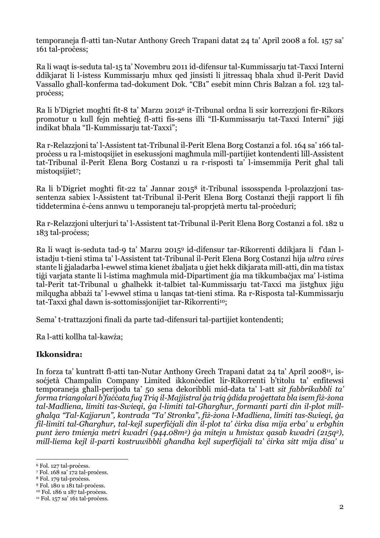temporaneja fl-atti tan-Nutar Anthony Grech Trapani datat 24 ta' April 2008 a fol. 157 sa' 161 tal-process;

Ra li waqt is-seduta tal-15 ta' Novembru 2011 id-difensur tal-Kummissarju tat-Taxxi Interni ddikjarat li l-istess Kummissarju mhux qed jinsisti li jitressaq bħala xhud il-Perit David Vassallo għall-konferma tad-dokument Dok. "CB1" esebit minn Chris Balzan a fol. 123 talprocess:

Ra li b'Digriet mogħti fit-8 ta' Marzu 2012<sup>6</sup> it-Tribunal ordna li ssir korrezzjoni fir-Rikors promotur u kull fejn meħtieġ fl-atti fis-sens illi "Il-Kummissarju tat-Taxxi Interni" jiġi indikat bħala "Il-Kummissarju tat-Taxxi";

Ra r-Relazzjoni ta' l-Assistent tat-Tribunal il-Perit Elena Borg Costanzi a fol. 164 sa' 166 talproċess u ra l-mistoqsijiet in esekussjoni magħmula mill-partijiet kontendenti lill-Assistent tat-Tribunal il-Perit Elena Borg Costanzi u ra r-risposti ta' l-imsemmija Perit għal tali mistoqsijiet7;

Ra li b'Digriet mogħti fit-22 ta' Jannar 2015<sup>8</sup> it-Tribunal issosspenda l-prolazzjoni tassentenza sabiex l-Assistent tat-Tribunal il-Perit Elena Borg Costanzi tħejji rapport li fih tiddetermina ċ-ċens annwu u temporaneju tal-proprjetà mertu tal-proċeduri;

Ra r-Relazzjoni ulterjuri ta' l-Assistent tat-Tribunal il-Perit Elena Borg Costanzi a fol. 182 u 183 tal-process;

Ra li waqt is-seduta tad-9 ta' Marzu 2015<sup>9</sup> id-difensur tar-Rikorrenti ddikjara li f'dan listadju t-tieni stima ta' l-Assistent tat-Tribunal il-Perit Elena Borg Costanzi hija *ultra vires* stante li ġjaladarba l-ewwel stima kienet żbaljata u ġiet hekk dikjarata mill-atti, din ma tistax tiġi varjata stante li l-istima magħmula mid-Dipartiment ġia ma tikkumbaċjax ma' l-istima tal-Perit tat-Tribunal u għalhekk it-talbiet tal-Kummissarju tat-Taxxi ma jistgħux jiġu milqugħa abbażi ta' l-ewwel stima u lanqas tat-tieni stima. Ra r-Risposta tal-Kummissarju tat-Taxxi għal dawn is-sottomissjonijiet tar-Rikorrenti<sup>10</sup>;

Sema' t-trattazzjoni finali da parte tad-difensuri tal-partijiet kontendenti;

Ra l-atti kollha tal-kawża;

## **Ikkonsidra:**

In forza ta' kuntratt fl-atti tan-Nutar Anthony Grech Trapani datat 24 ta' April 2008<sup>11</sup>, issoċjetà Champalin Company Limited ikkonċediet lir-Rikorrenti b'titolu ta' enfitewsi temporaneja għall-perijodu ta' 50 sena dekoribbli mid-data ta' l-att *sit fabbrikabbli ta'* forma triangolari b'faccata fug Trig il-Majjistral ga trig gdida progettata bla isem fiz-zona *tal-Madliena, limiti tas-Swieqi, ġa l-limiti tal-Għargħur, formanti parti din il-plot mill*għalqa "Tal-Kajjarun", kontrada "Ta' Stronka", fiż-żona l-Madliena, limiti tas-Swieqi, ga fil-limiti tal-Gharghur, tal-kejl superficjali din il-plot ta' cirka disa mija erba' u erbghin *punt żero tmienja metri kwadri (944.08m2) ġa mitejn u ħmistax qasab kwadri (215q2),* mill-liema kejl il-parti kostruwibbli għandha kejl superfiċjali ta' ċirka sitt mija disa' u

<sup>&</sup>lt;sup>6</sup> Fol. 127 tal-process.

 $7$  Fol. 168 sa' 172 tal-process.

<sup>&</sup>lt;sup>8</sup> Fol. 179 tal-process.

<sup>9</sup> Fol. 180 u 181 tal-process.

<sup>&</sup>lt;sup>10</sup> Fol. 186 u 187 tal-process.

<sup>&</sup>lt;sup>11</sup> Fol. 157 sa' 161 tal-process.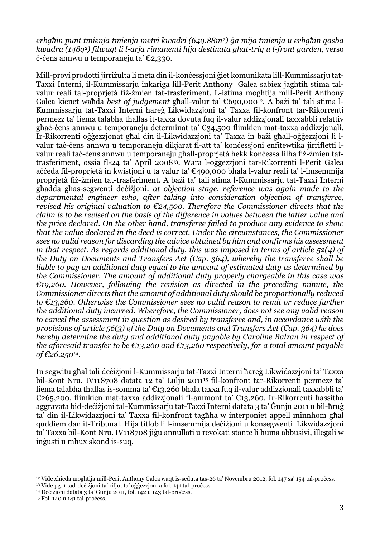*erbgħin punt tmienja tmienja metri kwadri (649.88m2) ġa mija tmienja u erbgħin qasba kwadra (148q2) filwaqt li l-arja rimanenti hija destinata għat-triq u l-front garden,* verso ċ-ċens annwu u temporaneju ta' €2,330.

Mill-provi prodotti jirriżulta li meta din il-konċessjoni ġiet komunikata lill-Kummissarju tat-Taxxi Interni, il-Kummissarju inkariga lill-Perit Anthony Galea sabiex jagħtih stima talvalur reali tal-proprjetà fiż-żmien tat-trasferiment. L-istima mogħtija mill-Perit Anthony Galea kienet waħda *best of judgement* għall-valur ta' €690,00012. A bażi ta' tali stima l-Kummissarju tat-Taxxi Interni ħareġ Likwidazzjoni ta' Taxxa fil-konfront tar-Rikorrenti permezz ta' liema talabha tħallas it-taxxa dovuta fuq il-valur addizzjonali taxxabbli relattiv għaċ-ċens annwu u temporaneju determinat ta'  $\epsilon$ 34,500 flimkien mat-taxxa addizzjonali. Ir-Rikorrenti oġġezzjonat għal din il-Likwidazzjoni ta' Taxxa in bażi għall-oġġezzjoni li lvalur taċ-ċens annwu u temporaneju dikjarat fl-att ta' konċessjoni enfitewtika jirrifletti lvalur reali taċ-ċens annwu u temporaneju għall-proprjetà hekk konċessa lilha fiż-żmien tattrasferiment, ossia fl-24 ta' April 200813. Wara l-oġġezzjoni tar-Rikorrenti l-Perit Galea aċċeda fil-proprietà in kwistioni u ta valur ta' €490,000 bħala l-valur reali ta' l-imsemmija proprjetà fiż-żmien tat-trasferiment. A bażi ta' tali stima l-Kummissarju tat-Taxxi Interni għadda għas-segwenti deċiżjoni: *at objection stage, reference was again made to the departmental engineer who, after taking into consideration objection of transferee, revised his original valuation to €24,500. Therefore the Commissioner directs that the claim is to be revised on the basis of the difference in values between the latter value and the price declared. On the other hand, transferee failed to produce any evidence to show that the value declared in the deed is correct. Under the circumstances, the Commissioner sees no valid reason for discarding the advice obtained by him and confirms his assessment in that respect. As regards additional duty, this was imposed in terms of article 52(4) of the Duty on Documents and Transfers Act (Cap. 364), whereby the transferee shall be liable to pay an additional duty equal to the amount of estimated duty as determined by the Commissioner. The amount of additional duty properly chargeable in this case was €19,260. However, following the revision as directed in the preceding minute, the Commissioner directs that the amount of additional duty should be proportionally reduced to €13,260. Otherwise the Commissioner sees no valid reason to remit or reduce further the additional duty incurred. Wherefore, the Commissioner, does not see any valid reason to cancel the assessment in question as desired by transferee and, in accordance with the provisions of article 56(3) of the Duty on Documents and Transfers Act (Cap. 364) he does hereby determine the duty and additional duty payable by Caroline Balzan in respect of the aforesaid transfer to be €13,260 and €13,260 respectively, for a total amount payable of €26,25014.*

In segwitu għal tali deċiżjoni l-Kummissarju tat-Taxxi Interni ħareġ Likwidazzjoni ta' Taxxa bil-Kont Nru. IV118708 datata 12 ta' Lulju 2011<sup>15</sup> fil-konfront tar-Rikorrenti permezz ta' liema talabha tħallas is-somma ta' €13,260 bħala taxxa fuq il-valur addizzjonali taxxabbli ta' €265,200, flimkien mat-taxxa addizzjonali fl-ammont ta' €13,260. Ir-Rikorrenti ħassitha aggravata bid-deċiżjoni tal-Kummissarju tat-Taxxi Interni datata 3 ta' Ġunju 2011 u bil-ħruġ ta' din il-Likwidazzjoni ta' Taxxa fil-konfront tagħha w interponiet appell minnhom għal quddiem dan it-Tribunal. Hija titlob li l-imsemmija deċiżjoni u konsegwenti Likwidazzjoni ta' Taxxa bil-Kont Nru. IV118708 jiġu annullati u revokati stante li huma abbusivi, illegali w inġusti u mhux skond is-suq.

<sup>&</sup>lt;sup>12</sup> Vide xhieda mogħtija mill-Perit Anthony Galea waqt is-seduta tas-26 ta' Novembru 2012, fol. 147 sa' 154 tal-proċess.

<sup>&</sup>lt;sup>13</sup> Vide pg. 1 tad-deċiżjoni ta' rifjut ta' oġġezzjoni a fol. 141 tal-proċess.

<sup>&</sup>lt;sup>14</sup> Deċiżjoni datata 3 ta' Ġunju 2011, fol. 142 u 143 tal-process.

<sup>&</sup>lt;sup>15</sup> Fol. 140 u 141 tal-process.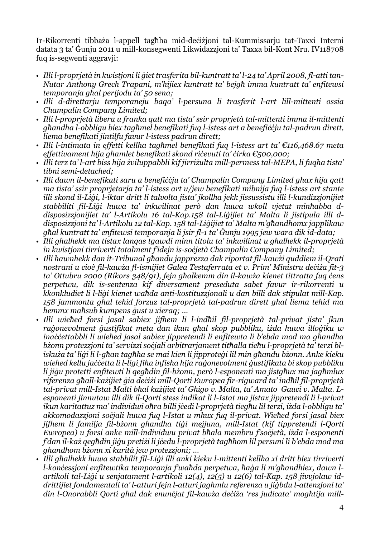Ir-Rikorrenti tibbaża l-appell tagħha mid-deċiżjoni tal-Kummissarju tat-Taxxi Interni datata 3 ta' Ġunju 2011 u mill-konsegwenti Likwidazzjoni ta' Taxxa bil-Kont Nru. IV118708 fuq is-segwenti aggravji:

- · Illi l-proprietà in kwistioni li giet trasferita bil-kuntratt ta' l-24 ta' April 2008, fl-atti tan-*Nutar Anthony Grech Trapani, m'hijiex kuntratt ta' bejgħ imma kuntratt ta' enfitewsi temporanja għal perijodu ta' 50 sena;*
- *• Illi d-direttarju temporaneju baqa' l-persuna li trasferit l-art lill-mittenti ossia Champalin Company Limited;*
- *• Illi l-proprjetà libera u franka qatt ma tista' ssir proprjetà tal-mittenti imma il-mittenti għandha l-obbligu biex tagħmel benefikati fuq l-istess art a benefiċċju tal-padrun dirett, liema benefikati jintilfu favur l-istess padrun dirett;*
- *• Illi l-intimata in effetti kellha tagħmel benefikati fuq l-istess art ta' €116,468.67 meta effettivament hija għamlet benefikati skond riċevuti ta' ċirka €500,000;*
- · Illi terz ta' l-art biss hija żviluppabbli kif jirriżulta mill-permess tal-MEPA, li fugha tista' *tibni semi-detached;*
- *• Illi dawn il-benefikati saru a benefiċċju ta' Champalin Company Limited għax hija qatt ma tista' ssir proprjetarja ta' l-istess art u/jew benefikati mibnija fuq l-istess art stante illi skond il-Liġi, l-iktar dritt li talvolta jista' jkollha jekk jissussistu illi l-kundizzjonijiet stabbiliti fil-Liġi huwa ta' inkwilinat però dan huwa wkoll vjetat minħabba ddisposizzjonijiet ta' l-Artikolu 16 tal-Kap.158 tal-Liġijiet ta' Malta li jistipula illi ddisposizzjoni ta' l-Artikolu 12 tal-Kap. 158 tal-Liġijiet ta' Malta m'għandhomx japplikaw* ghal kuntratt ta' enfitewsi temporanja li jsir fl-1 ta' Gunju 1995 jew wara dik id-data;
- *• Illi għalhekk ma tistax lanqas tgawdi minn titolu ta' inkwilinat u għalhekk il-proprjetà in kwistjoni tirriverti totalment f'idejn is-soċjetà Champalin Company Limited;*
- *• Illi hawnhekk dan it-Tribunal għandu japprezza dak riportat fil-kawżi quddiem il-Qrati* nostrani u cioè fil-kawża fl-ismijiet Galea Testaferrata et v. Prim' Ministru deciża fit-3 *ta' Ottubru 2000 (Rikors 348/91), fejn għalkemm din il-kawża kienet tittratta fuq ċens perpetwu, dik is-sentenza kif diversament preseduta sabet favur ir-rikorrenti u kkonkludiet li l-liġi kienet waħda anti-kostituzzjonali u dan billi dak stipulat mill-Kap. 158 jammonta għal teħid forzuz tal-proprjetà tal-padrun dirett għal liema teħid ma hemmx maħsub kumpens ġust u xieraq; …*
- *• Illi wieħed forsi jasal sabiex jifhem li l-indħil fil-proprjetà tal-privat jista' jkun* ragonevolment gustifikat meta dan ikun għal skop pubbliku, iżda huwa illogiku w inaccettabbli li wiehed jasal sabiex jippretendi li enfitewta li b'ebda mod ma ghandha bżonn protezzioni ta' servizzi sociali arbitrariament tithalla tiehu l-proprjetà ta' terzi bliskuża ta' ligi li l-għan tagħha se mai kien li jipproteģi lil min għandu bżonn. Anke kieku wieħed kellu jaċċetta li l-ligi fiha infisha hija raġonevolment ġustifikata bi skop pubbliku li jigu protetti enfitewti li gegħdin fil-bżonn, però l-esponenti ma jistgħux ma jagħmlux riferenza għall-każijiet ģia decizi mill-Qorti Ewropea fir-rigward ta' indħil fil-proprjetà tal-privat mill-Istat Malti bhal kazijiet ta' Ghigo v. Malta, ta' Amato Gauci v. Malta, L*esponenti jinnutaw illi dik il-Qorti stess indikat li l-Istat ma jistax jippretendi li l-privat* ikun karitattuz ma' individwi ohra billi jċedi l-proprjetà tieghu lil terzi, iżda l-obbligu ta' *akkomodazzjoni soċjali huwa fuq l-Istat u mhux fuq il-privat. Wieħed forsi jasal biex jifhem li familja fil-bżonn għandha tiġi mejjuna, mill-Istat (kif tippretendi l-Qorti Ewropea) u forsi anke mill-individwu privat bħala membru f'soċjetà, iżda l-esponenti* fdan il-każ gegħdin jigu pretiżi li jċedu l-proprjetà tagħhom lil persuni li b'ebda mod ma *għandhom bżonn xi karità jew protezzjoni; …*
- Illi aħalhekk huwa stabbilit fil-Liai illi anki kieku l-mittenti kellha xi dritt biex tirriverti l-koncessioni enfitewtika temporanja fwahda perpetwa, haga li m'ghandhiex, dawn l*artikoli tal-Liġi u senjatament l-artikoli 12(4), 12(5) u 12(6) tal-Kap. 158 jivvjolaw iddrittijiet fondamentali ta' l-atturi fejn l-atturi jagħmlu referenza u jiġbdu l-attenzjoni ta'* din l-Onorabbli Oorti ghal dak enuncjat fil-kawża deciża 'res judicata' moghtija mill-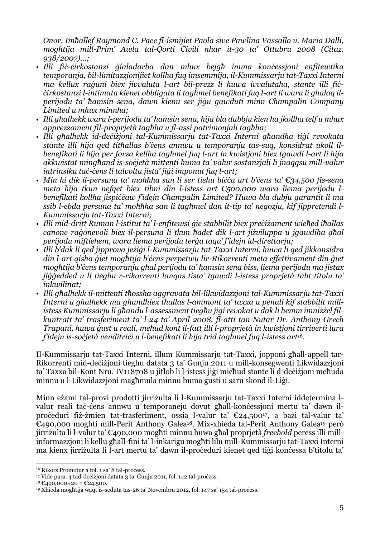*Onor. Imħallef Raymond C. Pace fl-ismijiet Paola sive Pawlina Vassallo v. Maria Dalli, mogħtija mill-Prim' Awla tal-Qorti Ċivili nhar it-30 ta' Ottubru 2008 (Citaz. 938/2007)…;*

- *• Illi fiċ-ċirkostanzi ġialadarba dan mhux bejgħ imma konċessjoni enfitewtika temporanja, bil-limitazzjonijiet kollha fuq imsemmija, il-Kummissarju tat-Taxxi Interni ma kellux raġuni biex jivvaluta l-art bil-prezz li huwa ivvalutaha, stante illi fiċ*cirkostanzi l-intimata kienet obbligata li taghmel benefikati fug l-art li wara li ghalag il*perijodu ta' ħamsin sena, dawn kienu ser jiġu gawduti minn Champalin Company Limited u mhux minnha;*
- · Illi għalhekk wara l-perijodu ta' ħamsin sena, hija bla dubbju kien ħa jkollha telf u mhux *apprezzament fil-proprjetà tagħha u fl-assi patrimonjali tagħha;*
- *• Illi għalhekk id-deċiżjoni tal-Kummissarju tat-Taxxi Interni għandha tiġi revokata stante illi hija qed titħallas b'ċens annwu u temporanju tas-suq, konsidrat ukoll ilbenefikati li hija per forza kellha tagħmel fuq l-art in kwistjoni biex tgawdi l-art li hija akkwistat mingħand is-soċjetà mittenti huma ta' valur sostanzjali li jnaqqsu mill-valur intrinsiku taċ-ċens li talvolta jista' jiġi imponut fuq l-art;*
- Min hi dik il-persuna ta' moħħha san li ser tieħu biċċa art b'ċens ta' €34.500 fis-sena *meta hija tkun nefqet biex tibni din l-istess art €500,000 wara liema perijodu lbenefikati kollha jispiċċaw f'idejn Champalin Limited? Huwa bla dubju garantit li ma* ssib l-ebda persuna ta' moħħha san li tagħmel dan it-tip ta' negozju, kif jippretendi l-*Kummissarju tat-Taxxi Interni;*
- Illi mid-dritt Ruman l-istitut ta' l-enfitewsi die stabbilit biex precizament wiehed ihallas *canone raġonevoli biex il-persuna li tkun ħadet dik l-art jiżviluppa u jgawdiha għal perijodu miftiehem, wara liema perijodu terġa taqa' f'idejn id-direttarju;*
- · Illi b'dak li qed jipprova jeżigi l-Kummissarju tat-Taxxi Interni, huwa li qed jikkonsidra *din l-art qisha ġiet mogħtija b'ċens perpetwu lir-Rikorrenti meta effettivament din ġiet* moghtija b'čens temporanju ghal perijodu ta' hamsin sena biss, liema perijodu ma jistax jiggedded u li tieghu r-rikorrenti langas tista' tgawdi l-istess proprjetà taht titolu ta' *inkwilinat;*
- *• Illi għalhekk il-mittenti tħossha aggravata bil-likwidazzjoni tal-Kummissarju tat-Taxxi* Interni u għalhekk ma għandhiex tħallas l-ammont ta' taxxa u penali kif stabbilit millistess Kummissarju li għandu l-assessment tiegħu jiġi revokat u dak li hemm imniżżel fil*kuntratt ta' trasferiment ta' l-24 ta' April 2008, fl-atti tan-Nutar Dr. Anthony Grech Trapani, huwa ġust u reali, meħud kont il-fatt illi l-proprjetà in kwistjoni tirriverti lura* fidejn is-socjetà venditrici u l-benefikati li hija trid taghmel fug l-istess art<sup>16</sup>.

Il-Kummissarju tat-Taxxi Interni, illum Kummissarju tat-Taxxi, jopponi għall-appell tar-Rikorrenti mid-deċiżjoni tiegħu datata 3 ta' Ġunju 2011 u mill-konsegwenti Likwidazzjoni ta' Taxxa bil-Kont Nru. IV118708 u jitlob li l-istess jiġi miċħud stante li d-deċiżjoni meħuda minnu u l-Likwidazzjoni magħmula minnu huma ġusti u saru skond il-Liġi.

Minn eżami tal-provi prodotti jirriżulta li l-Kummissarju tat-Taxxi Interni iddetermina lvalur reali taċ-cens annwu u temporaneju dovut għall-koncessjoni mertu ta' dawn ilproċeduri fiż-żmien tat-trasferiment, ossia l-valur ta' €24,50017, a bażi tal-valur ta' €490,000 mogħti mill-Perit Anthony Galea18. Mix-xhieda tal-Perit Anthony Galea<sup>19</sup> però jirriżulta li l-valur ta' €490,000 mogħti minnu huwa għal proprjetà *freehold* peress illi millinformazzjoni li kellu għall-fini ta' l-inkarigu mogħti lilu mill-Kummissarju tat-Taxxi Interni ma kienx jirriżulta li l-art mertu ta' dawn il-proċeduri kienet qed tiġi konċessa b'titolu ta'

<sup>&</sup>lt;sup>16</sup> Rikors Promotur a fol. 1 sa' 8 tal-process.

<sup>&</sup>lt;sup>17</sup> Vide para. 4 tad-deċiżjoni datata 3 ta' Ġunju 2011, fol. 142 tal-proċess.

 $18 \text{ } \text{£}490,000\div 20 = \text{£}24,500.$ 

<sup>&</sup>lt;sup>19</sup> Xhieda moghtija waqt is-seduta tas-26 ta' Novembru 2012, fol. 147 sa' 154 tal-process.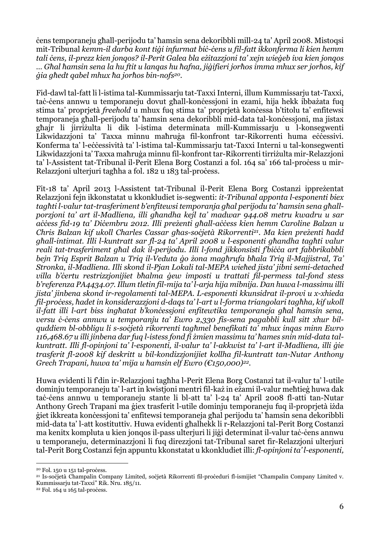ċens temporaneju għall-perijodu ta' ħamsin sena dekoribbli mill-24 ta' April 2008. Mistoqsi mit-Tribunal *kemm-il darba kont tiġi infurmat biċ-ċens u fil-fatt ikkonferma li kien hemm* tali cens, il-prezz kien jongos? il-Perit Galea bla ezitazzjoni ta' xejn wiegeb iva kien jongos ... Ghal hamsin sena la hu ftit u langas hu hafna, jigifieri jorhos imma mhux ser jorhos, kif *ġia għedt qabel mhux ħa jorħos bin-nofs20*.

Fid-dawl tal-fatt li l-istima tal-Kummissarju tat-Taxxi Interni, illum Kummissarju tat-Taxxi, taċ-ċens annwu u temporaneju dovut għall-konċessjoni in ezami, hija hekk ibbażata fuq stima ta' proprjetà *freehold* u mhux fuq stima ta' proprjetà konċessa b'titolu ta' enfitewsi temporaneja għall-perijodu ta' ħamsin sena dekoribbli mid-data tal-konċessjoni, ma jistax għajr li jirriżulta li dik l-istima determinata mill-Kummissarju u l-konsegwenti Likwidazzjoni ta' Taxxa minnu maħruġa fil-konfront tar-Rikorrenti huma eċċessivi. Konferma ta' l-eċċessività ta' l-istima tal-Kummissarju tat-Taxxi Interni u tal-konsegwenti Likwidazzjoni ta' Taxxa maħruġa minnu fil-konfront tar-Rikorrenti tirriżulta mir-Relazzjoni ta' l-Assistent tat-Tribunal il-Perit Elena Borg Costanzi a fol. 164 sa' 166 tal-process u mir-Relazzioni ulterjuri tagħha a fol. 182 u 183 tal-process.

Fit-18 ta' April 2013 l-Assistent tat-Tribunal il-Perit Elena Borg Costanzi ippreżentat Relazzjoni fejn ikkonstatat u kkonkludiet is-segwenti: *it-Tribunal apponta l-esponenti biex* taghti l-valur tat-trasferiment b'enfitewsi temporanja ghal perijodu ta' hamsin sena ghall*porzjoni ta' art il-Madliena, illi għandha kejl ta' madwar 944.08 metru kwadru u sar* access fid-19 ta' Dicembru 2012. Illi prezenti anall-access kien hemm Caroline Balzan u Chris Balzan kif ukoll Charles Cassar għas-soċjetà Rikorrenti<sup>21</sup>. Ma kien preżenti ħadd ghall-intimat. Illi l-kuntratt sar fl-24 ta' April 2008 u l-esponenti ghandha taghti valur *reali tat-trasferiment għal dak il-perijodu. Illi l-fond jikkonsisti f'biċċa art fabbrikabbli* bejn Trig Esprit Balzan u Trig il-Veduta go żona magħrufa bħala Trig il-Majjistral, Ta' *Stronka, il-Madliena. Illi skond il-Pjan Lokali tal-MEPA wieħed jista' jibni semi-detached villa b'ċertu restrizzjonijiet bħalma ġew imposti u trattati fil-permess tal-fond stess b'referenza PA4434.07. Illum tletin fil-mija ta' l-arja hija mibnija. Dan huwa l-massimu illi jista' jinbena skond ir-regolamenti tal-MEPA. L-esponenti kkunsidrat il-provi u x-xhieda* fil-process, hadet in konsiderazzjoni d-dags ta' l-art u l-forma triangolari taghha, kif ukoll il-fatt illi l-art biss inghatat b'koncessjoni enfitewtika temporaneja ghal hamsin sena, *versu ċ-ċens annwu u temporanju ta' Ewro 2,330 fis-sena pagabbli kull sitt xhur bilquddiem bl-obbligu li s-soċjetà rikorrenti tagħmel benefikati ta' mhux inqas minn Ewro* 116,468.67 u illi jinbena dar fug l-istess fond fi zmien massimu ta' hames snin mid-data tal*kuntratt. Illi fl-opinjoni ta' l-esponenti, il-valur ta' l-akkwist ta' l-art il-Madliena, illi ġie trasferit fl-2008 kif deskritt u bil-kondizzjonijiet kollha fil-kuntratt tan-Nutar Anthony Grech Trapani, huwa ta' mija u ħamsin elf Ewro (€150,000)22.*

Huwa evidenti li f'din ir-Relazzjoni tagħha l-Perit Elena Borg Costanzi tat il-valur ta' l-utile dominju temporaneju ta' l-art in kwistjoni mentri fil-każ in eżami il-valur meħtieġ huwa dak taċ-ċens annwu u temporaneju stante li bl-att ta' l-24 ta' April 2008 fl-atti tan-Nutar Anthony Grech Trapani ma ġiex trasferit l-utile dominju temporaneju fuq il-proprjetà iżda ġiet ikkreata konċessjoni ta' enfitewsi temporaneja għal perijodu ta' ħamsin sena dekoribbli mid-data ta' l-att kostituttiv. Huwa evidenti għalhekk li r-Relazzjoni tal-Perit Borg Costanzi ma kenitx kompluta u kien jonqos il-pass ulterjuri li jiġi determinat il-valur taċ-ċens annwu u temporaneju, determinazzjoni li fuq direzzjoni tat-Tribunal saret fir-Relazzjoni ulterjuri tal-Perit Borg Costanzi fejn appuntu kkonstatat u kkonkludiet illi: *fl-opinjoni ta' l-esponenti,*

<sup>&</sup>lt;sup>20</sup> Fol. 150 u 151 tal-process.

<sup>&</sup>lt;sup>21</sup> Is-sočjetà Champalin Company Limited, soċjetà Rikorrenti fil-proċeduri fl-ismijiet "Champalin Company Limited v. Kummissarju tat-Taxxi" Rik. Nru. 185/11.

 $22$  Fol. 164 u 165 tal-process.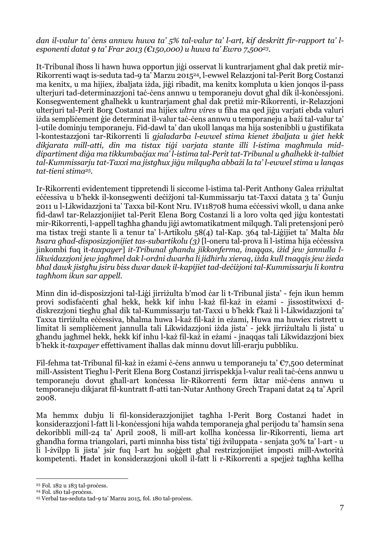## dan il-valur ta' cens annwu huwa ta' 5% tal-valur ta' l-art, kif deskritt fir-rapport ta' l*esponenti datat 9 ta' Frar 2013 (€150,000) u huwa ta' Ewro 7,50023*.

It-Tribunal iħoss li hawn huwa opportun jiġi osservat li kuntrarjament għal dak pretiż mir-Rikorrenti waqt is-seduta tad-9 ta' Marzu 201524, l-ewwel Relazzjoni tal-Perit Borg Costanzi ma kenitx, u ma hijiex, żbaljata iżda, jiġi ribadit, ma kenitx kompluta u kien jonqos il-pass ulterjuri tad-determinazzjoni taċ-ċens annwu u temporaneju dovut għal dik il-konċessjoni. Konsegwentement għalhekk u kuntrarjament għal dak pretiż mir-Rikorrenti, ir-Relazzjoni ulterjuri tal-Perit Borg Costanzi ma hijiex *ultra vires* u fiha ma qed jiġu varjati ebda valuri iżda sempliċement ġie determinat il-valur taċ-ċens annwu u temporaneju a bażi tal-valur ta' l-utile dominju temporaneju. Fid-dawl ta' dan ukoll lanqas ma hija sostenibbli u ġustifikata l-kontestazzjoni tar-Rikorrenti li *gjaladarba l-ewwel stima kienet żbaljata u ġiet hekk dikjarata mill-atti, din ma tistax tiġi varjata stante illi l-istima magħmula middipartiment diġa ma tikkumbaċjax ma' l-istima tal-Perit tat-Tribunal u għalhekk it-talbiet* tal-Kummissarju tat-Taxxi ma jistghux jigu milgugha abbażi la ta' l-ewwel stima u langas *tat-tieni stima25.*

Ir-Rikorrenti evidentement tippretendi li siccome l-istima tal-Perit Anthony Galea rriżultat eċċessiva u b'hekk il-konsegwenti deċiżjoni tal-Kummissarju tat-Taxxi datata 3 ta' Ġunju 2011 u l-Likwidazzjoni ta' Taxxa bil-Kont Nru. IV118708 huma eċċessivi wkoll, u dana anke fid-dawl tar-Relazzjonijiet tal-Perit Elena Borg Costanzi li a loro volta qed jiġu kontestati mir-Rikorrenti, l-appell tagħha għandu jiġi awtomatikatment milqugħ. Tali pretensjoni però ma tistax treġi stante li a tenur ta' l-Artikolu 58(4) tal-Kap. 364 tal-Liġijiet ta' Malta *bla ħsara għad-disposizzjonijiet tas-subartikolu (3)* [l-oneru tal-prova li l-istima hija eċċessiva jinkombi fuq it-*taxpayer*] *it-Tribunal għandu jikkonferma, inaqqas, iżid jew jannulla l-*.<br>likwidazzioni jew jagħmel dak l-ordni d̃warha li jidhirlu xieraq, izda kull tnaqqis jew zieda bhal dawk jistahu jsiru biss dwar dawk il-kapijiet tad-deciżjoni tal-Kummissarju li kontra *tagħhom ikun sar appell.*

Minn din id-disposizzjoni tal-Liġi jirriżulta b'mod ċar li t-Tribunal jista' - fejn ikun hemm provi sodisfaċenti għal hekk, hekk kif inhu l-każ fil-każ in eżami - jissostitwixxi ddiskrezzjoni tiegħu għal dik tal-Kummissarju tat-Taxxi u b'hekk f'każ li l-Likwidazzjoni ta' Taxxa tirriżulta eċċessiva, bħalma huwa l-każ fil-każ in eżami, Huwa ma huwiex ristrett u limitat li semplicement jannulla tali Likwidazzjoni iżda jista' - jekk jirriżultalu li jista' u għandu jagħmel hekk, hekk kif inhu l-każ fil-każ in eżami - jnaqqas tali Likwidazzjoni biex b'hekk it-*taxpayer* effettivament iħallas dak minnu dovut lill-erarju pubbliku.

Fil-fehma tat-Tribunal fil-każ in eżami ċ-ċens annwu u temporaneju ta' €7,500 determinat mill-Assistent Tiegħu l-Perit Elena Borg Costanzi jirrispekkja l-valur reali taċ-ċens annwu u temporaneju dovut għall-art konċessa lir-Rikorrenti ferm iktar miċ-ċens annwu u temporaneju dikjarat fil-kuntratt fl-atti tan-Nutar Anthony Grech Trapani datat 24 ta' April 2008.

Ma hemmx dubju li fil-konsiderazzjonijiet tagħha l-Perit Borg Costanzi ħadet in konsiderazzjoni l-fatt li l-konċessjoni hija waħda temporaneja għal perijodu ta' ħamsin sena dekoribbli mill-24 ta' April 2008, li mill-art kollha konċessa lir-Rikorrenti, liema art għandha forma triangolari, parti minnha biss tista' tiġi żviluppata - senjata 30% ta' l-art - u li l-żvilpp li jista' jsir fuq l-art hu soġġett għal restrizzjonijiet imposti mill-Awtorità kompetenti. Ħadet in konsiderazzjoni ukoll il-fatt li r-Rikorrenti a spejjeż tagħha kellha

<sup>&</sup>lt;sup>23</sup> Fol. 182 u 183 tal-process.

<sup>&</sup>lt;sup>24</sup> Fol. 180 tal-process.

<sup>&</sup>lt;sup>25</sup> Verbal tas-seduta tad-9 ta' Marzu 2015, fol. 180 tal-process.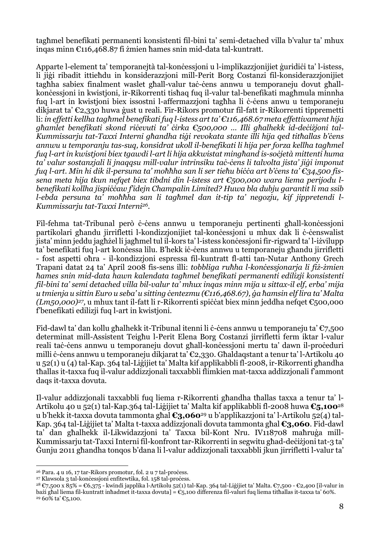tagħmel benefikati permanenti konsistenti fil-bini ta' semi-detached villa b'valur ta' mhux inqas minn €116,468.87 fi żmien ħames snin mid-data tal-kuntratt.

Apparte l-element ta' temporanejtà tal-konċessioni u l-implikazzjonijiet ġuridići ta' l-istess, li jiġi ribadit ittieħdu in konsiderazzjoni mill-Perit Borg Costanzi fil-konsiderazzjonijiet tagħha sabiex finalment waslet għall-valur taċ-ċens annwu u temporaneju dovut għallkonċessjoni in kwistjoni, ir-Rikorrenti tisħaq fuq il-valur tal-benefikati magħmula minnha fuq l-art in kwistjoni biex issostni l-affermazzjoni tagħha li ċ-ċens anwu u temporaneju dikjarat ta' €2,330 huwa ġust u reali. Fir-Rikors promotur fil-fatt ir-Rikorrenti tippremetti li: *in effetti kellha tagħmel benefikati fuq l-istess art ta' €116,468.67 meta effettivament hija*  $q$ hamlet benefikati skond ričevuti ta' čirka  $\epsilon$ 500,000 ... Illi ghalhekk id-dečižjoni tal-Kummissariu tat-Taxxi Interni aħandha tiai revokata stante illi hija ged titħallas b'cens *annwu u temporanju tas-suq, konsidrat ukoll il-benefikati li hija per forza kellha tagħmel fuq l-art in kwistjoni biex tgawdi l-art li hija akkwistat mingħand is-soċjetà mittenti huma* ta' valur sostanzjali li jnaggsu mill-valur intrinsiku tac-cens li talvolta jista' jigi imponut fug l-art. Min hi dik il-persuna ta' moħħha san li ser tieħu biċċa art b'ċens ta' €34,500 fis*sena meta hija tkun nefqet biex tibdni din l-istess art €500,000 wara liema perijodu lbenefikati kollha jispiċċaw f'idejn Champalin Limited? Huwa bla dubju garantit li ma ssib l-ebda persuna ta' moħħha san li tagħmel dan it-tip ta' negozju, kif jippretendi l-Kummissarju tat-Taxxi Interni26.*

Fil-fehma tat-Tribunal però ċ-ċens annwu u temporaneju pertinenti għall-konċessjoni partikolari għandu jirrifletti l-kondizzjonijiet tal-konċessjoni u mhux dak li ċ-ċenswalist jista' minn jeddu jagħżel li jagħmel tul il-kors ta' l-istess konċessjoni fir-rigward ta' l-iżvilupp ta' benefikati fuq l-art konċessa lilu. B'hekk iċ-ċens annwu u temporaneju għandu jirrifletti - fost aspetti oħra - il-kondizzjoni espressa fil-kuntratt fl-atti tan-Nutar Anthony Grech Trapani datat 24 ta' April 2008 fis-sens illi: *tobbliga ruħha l-konċessjonarja li fiż-żmien ħames snin mid-data hawn kalendata tagħmel benefikati permanenti edilizji konsistenti* fil-bini ta' semi detached villa bil-valur ta' mhux ingas minn mija u sittax-il elf. erba' mija u tmienja u sittin Euro u seba'u sitting centezmu ( $\epsilon$ 116,468.67), ga hamsin elf lira ta' Malta *(Lm50,000)<sup>27</sup> ,* u mhux tant il-fatt li r-Rikorrenti spiċċat biex minn jeddha nefqet €500,000 f'benefikati edilizji fuq l-art in kwistjoni.

Fid-dawl ta' dan kollu għalhekk it-Tribunal itenni li ċ-ċens annwu u temporaneju ta'  $\epsilon_{7,500}$ determinat mill-Assistent Teigħu l-Perit Elena Borg Costanzi jirrifletti ferm iktar l-valur reali taċ-ċens annwu u temporaneju dovut għall-konċessjoni mertu ta' dawn il-proċeduri milli ċ-ċens annwu u temporaneju dikjarat ta' €2,330. Għaldaqstant a tenur ta' l-Artikolu 40 u 52(1) u (4) tal-Kap. 364 tal-Liġijiet ta' Malta kif applikabbli fl-2008, ir-Rikorrenti għandha tħallas it-taxxa fuq il-valur addizzjonali taxxabbli flimkien mat-taxxa addizzjonali f'ammont daqs it-taxxa dovuta.

Il-valur addizzjonali taxxabbli fuq liema r-Rikorrenti għandha tħallas taxxa a tenur ta' l-Artikolu 40 u 52(1) tal-Kap.364 tal-Liġijiet ta' Malta kif applikabbli fl-2008 huwa **€5,100**<sup>28</sup> u b'hekk it-taxxa dovuta tammonta għal **€3,060**<sup>29</sup> u b'applikazzjoni ta' l-Artikolu 52(4) tal-Kap. 364 tal-Liġijiet ta' Malta t-taxxa addizzjonali dovuta tammonta għal **€3,060**. Fid-dawl ta' dan għalhekk il-Likwidazzjoni ta' Taxxa bil-Kont Nru. IV118708 maħruġa mill-Kummissarju tat-Taxxi Interni fil-konfront tar-Rikorrenti in segwitu għad-deċiżjoni tat-3 ta' Ġunju 2011 għandha tonqos b'dana li l-valur addizzjonali taxxabbli jkun jirrifletti l-valur ta'

 $26$  Para. 4 u 16, 17 tar-Rikors promotur, fol. 2 u 7 tal-process.

<sup>&</sup>lt;sup>27</sup> Klawsola 3 tal-konċessjoni enfitewtika, fol. 158 tal-proċess.

<sup>28</sup> €7,500 x 85% = €6,375 - kwindi japplika l-Artikolu 52(1) tal-Kap. 364 tal-Liġijiet ta' Malta. €7,500 - €2,400 [il-valur in bażi għal liema fil-kuntratt inħadmet it-taxxa dovuta] = €5,100 differenza fil-valuri fuq liema titħallas it-taxxa ta' 60%.  $2960\%$  ta'  $C_5$ , 100.